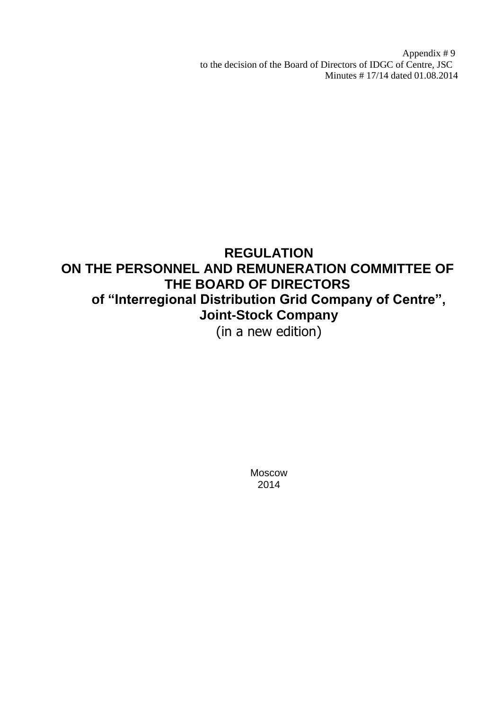Appendix # 9 to the decision of the Board of Directors of IDGC of Centre, JSC Minutes # 17/14 dated 01.08.2014

# **REGULATION ON THE PERSONNEL AND REMUNERATION COMMITTEE OF THE BOARD OF DIRECTORS of "Interregional Distribution Grid Company of Centre", Joint-Stock Company** (in a new edition)

Moscow 2014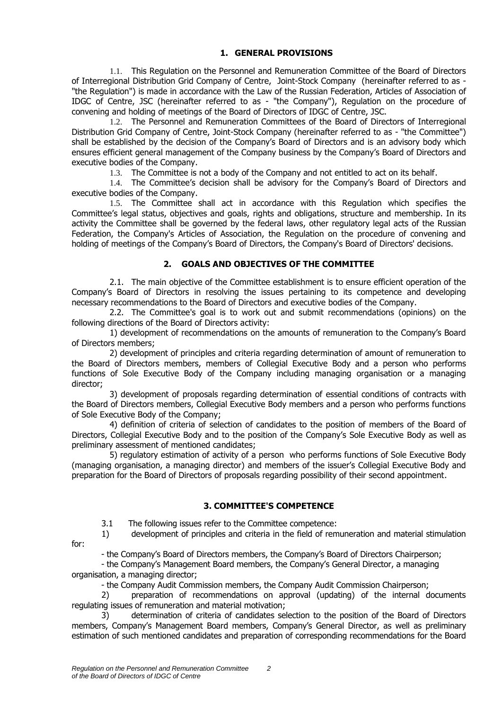#### **1. GENERAL PROVISIONS**

1.1. This Regulation on the Personnel and Remuneration Committee of the Board of Directors of Interregional Distribution Grid Company of Centre, Joint-Stock Company (hereinafter referred to as - "the Regulation") is made in accordance with the Law of the Russian Federation, Articles of Association of IDGC of Centre, JSC (hereinafter referred to as - "the Company"), Regulation on the procedure of convening and holding of meetings of the Board of Directors of IDGC of Centre, JSC.

1.2. The Personnel and Remuneration Committees of the Board of Directors of Interregional Distribution Grid Company of Centre, Joint-Stock Company (hereinafter referred to as - "the Committee") shall be established by the decision of the Company's Board of Directors and is an advisory body which ensures efficient general management of the Company business by the Company's Board of Directors and executive bodies of the Company.

1.3. The Committee is not a body of the Company and not entitled to act on its behalf.

1.4. The Committee's decision shall be advisory for the Company's Board of Directors and executive bodies of the Company.

1.5. The Committee shall act in accordance with this Regulation which specifies the Committee's legal status, objectives and goals, rights and obligations, structure and membership. In its activity the Committee shall be governed by the federal laws, other regulatory legal acts of the Russian Federation, the Company's Articles of Association, the Regulation on the procedure of convening and holding of meetings of the Company's Board of Directors, the Company's Board of Directors' decisions.

#### **2. GOALS AND OBJECTIVES OF THE COMMITTEE**

2.1. The main objective of the Committee establishment is to ensure efficient operation of the Company's Board of Directors in resolving the issues pertaining to its competence and developing necessary recommendations to the Board of Directors and executive bodies of the Company.

2.2. The Committee's goal is to work out and submit recommendations (opinions) on the following directions of the Board of Directors activity:

1) development of recommendations on the amounts of remuneration to the Company's Board of Directors members;

2) development of principles and criteria regarding determination of amount of remuneration to the Board of Directors members, members of Collegial Executive Body and a person who performs functions of Sole Executive Body of the Company including managing organisation or a managing director;

3) development of proposals regarding determination of essential conditions of contracts with the Board of Directors members, Collegial Executive Body members and a person who performs functions of Sole Executive Body of the Company;

4) definition of criteria of selection of candidates to the position of members of the Board of Directors, Collegial Executive Body and to the position of the Company's Sole Executive Body as well as preliminary assessment of mentioned candidates;

5) regulatory estimation of activity of a person who performs functions of Sole Executive Body (managing organisation, a managing director) and members of the issuer's Collegial Executive Body and preparation for the Board of Directors of proposals regarding possibility of their second appointment.

#### **3. COMMITTEE'S COMPETENCE**

3.1 The following issues refer to the Committee competence:

1) development of principles and criteria in the field of remuneration and material stimulation for:

- the Company's Board of Directors members, the Company's Board of Directors Chairperson;

- the Company's Management Board members, the Company's General Director, a managing organisation, a managing director;

- the Company Audit Commission members, the Company Audit Commission Chairperson;

2) preparation of recommendations on approval (updating) of the internal documents regulating issues of remuneration and material motivation;

3) determination of criteria of candidates selection to the position of the Board of Directors members, Company's Management Board members, Company's General Director, as well as preliminary estimation of such mentioned candidates and preparation of corresponding recommendations for the Board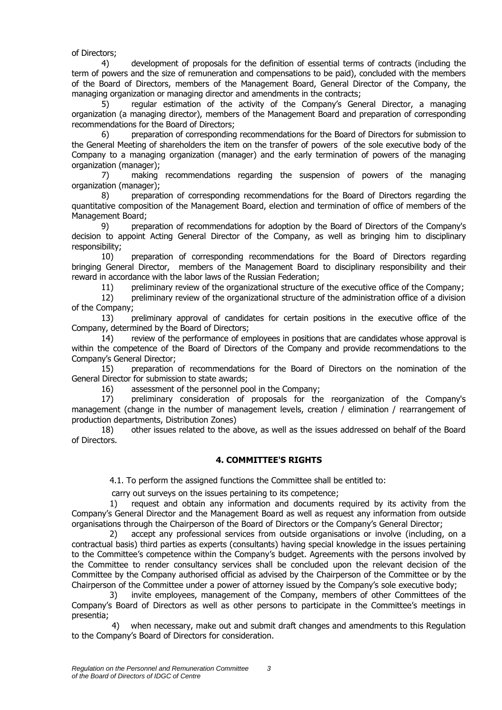of Directors;

4) development of proposals for the definition of essential terms of contracts (including the term of powers and the size of remuneration and compensations to be paid), concluded with the members of the Board of Directors, members of the Management Board, General Director of the Company, the managing organization or managing director and amendments in the contracts;

5) regular estimation of the activity of the Company's General Director, a managing organization (a managing director), members of the Management Board and preparation of corresponding recommendations for the Board of Directors;

6) preparation of corresponding recommendations for the Board of Directors for submission to the General Meeting of shareholders the item on the transfer of powers of the sole executive body of the Company to a managing organization (manager) and the early termination of powers of the managing organization (manager);

7) making recommendations regarding the suspension of powers of the managing organization (manager);

8) preparation of corresponding recommendations for the Board of Directors regarding the quantitative composition of the Management Board, election and termination of office of members of the Management Board;

9) preparation of recommendations for adoption by the Board of Directors of the Company's decision to appoint Acting General Director of the Company, as well as bringing him to disciplinary responsibility;

10) preparation of corresponding recommendations for the Board of Directors regarding bringing General Director, members of the Management Board to disciplinary responsibility and their reward in accordance with the labor laws of the Russian Federation;

11) preliminary review of the organizational structure of the executive office of the Company;

12) preliminary review of the organizational structure of the administration office of a division of the Company;

13) preliminary approval of candidates for certain positions in the executive office of the Company, determined by the Board of Directors;

14) review of the performance of employees in positions that are candidates whose approval is within the competence of the Board of Directors of the Company and provide recommendations to the Company's General Director;

15) preparation of recommendations for the Board of Directors on the nomination of the General Director for submission to state awards;

16) assessment of the personnel pool in the Company;

17) preliminary consideration of proposals for the reorganization of the Company's management (change in the number of management levels, creation / elimination / rearrangement of production departments, Distribution Zones)

18) other issues related to the above, as well as the issues addressed on behalf of the Board of Directors.

#### **4. COMMITTEE'S RIGHTS**

4.1. To perform the assigned functions the Committee shall be entitled to:

carry out surveys on the issues pertaining to its competence;

1) request and obtain any information and documents required by its activity from the Company's General Director and the Management Board as well as request any information from outside organisations through the Chairperson of the Board of Directors or the Company's General Director;

2) accept any professional services from outside organisations or involve (including, on a contractual basis) third parties as experts (consultants) having special knowledge in the issues pertaining to the Committee's competence within the Company's budget. Agreements with the persons involved by the Committee to render consultancy services shall be concluded upon the relevant decision of the Committee by the Company authorised official as advised by the Chairperson of the Committee or by the Chairperson of the Committee under a power of attorney issued by the Company's sole executive body;

3) invite employees, management of the Company, members of other Committees of the Company's Board of Directors as well as other persons to participate in the Committee's meetings in presentia;

 4) when necessary, make out and submit draft changes and amendments to this Regulation to the Company's Board of Directors for consideration.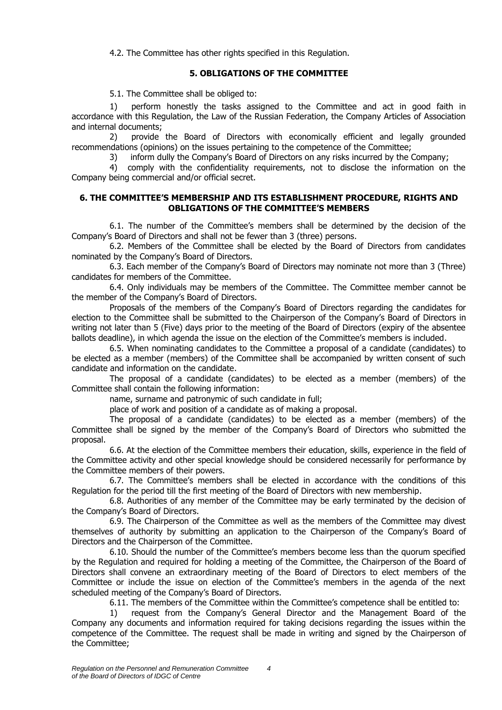4.2. The Committee has other rights specified in this Regulation.

#### **5. OBLIGATIONS OF THE COMMITTEE**

5.1. The Committee shall be obliged to:

1) perform honestly the tasks assigned to the Committee and act in good faith in accordance with this Regulation, the Law of the Russian Federation, the Company Articles of Association and internal documents;

2) provide the Board of Directors with economically efficient and legally grounded recommendations (opinions) on the issues pertaining to the competence of the Committee;

3) inform dully the Company's Board of Directors on any risks incurred by the Company;

4) comply with the confidentiality requirements, not to disclose the information on the Company being commercial and/or official secret.

#### **6. THE COMMITTEE'S MEMBERSHIP AND ITS ESTABLISHMENT PROCEDURE, RIGHTS AND OBLIGATIONS OF THE COMMITTEE'S MEMBERS**

6.1. The number of the Committee's members shall be determined by the decision of the Company's Board of Directors and shall not be fewer than 3 (three) persons.

6.2. Members of the Committee shall be elected by the Board of Directors from candidates nominated by the Company's Board of Directors.

6.3. Each member of the Company's Board of Directors may nominate not more than 3 (Three) candidates for members of the Committee.

6.4. Only individuals may be members of the Committee. The Committee member cannot be the member of the Company's Board of Directors.

Proposals of the members of the Company's Board of Directors regarding the candidates for election to the Committee shall be submitted to the Chairperson of the Company's Board of Directors in writing not later than 5 (Five) days prior to the meeting of the Board of Directors (expiry of the absentee ballots deadline), in which agenda the issue on the election of the Committee's members is included.

6.5. When nominating candidates to the Committee a proposal of a candidate (candidates) to be elected as a member (members) of the Committee shall be accompanied by written consent of such candidate and information on the candidate.

The proposal of a candidate (candidates) to be elected as a member (members) of the Committee shall contain the following information:

name, surname and patronymic of such candidate in full;

place of work and position of a candidate as of making a proposal.

The proposal of a candidate (candidates) to be elected as a member (members) of the Committee shall be signed by the member of the Company's Board of Directors who submitted the proposal.

6.6. At the election of the Committee members their education, skills, experience in the field of the Committee activity and other special knowledge should be considered necessarily for performance by the Committee members of their powers.

6.7. The Committee's members shall be elected in accordance with the conditions of this Regulation for the period till the first meeting of the Board of Directors with new membership.

6.8. Authorities of any member of the Committee may be early terminated by the decision of the Company's Board of Directors.

6.9. The Chairperson of the Committee as well as the members of the Committee may divest themselves of authority by submitting an application to the Chairperson of the Company's Board of Directors and the Chairperson of the Committee.

6.10. Should the number of the Committee's members become less than the quorum specified by the Regulation and required for holding a meeting of the Committee, the Chairperson of the Board of Directors shall convene an extraordinary meeting of the Board of Directors to elect members of the Committee or include the issue on election of the Committee's members in the agenda of the next scheduled meeting of the Company's Board of Directors.

6.11. The members of the Committee within the Committee's competence shall be entitled to:

1) request from the Company's General Director and the Management Board of the Company any documents and information required for taking decisions regarding the issues within the competence of the Committee. The request shall be made in writing and signed by the Chairperson of the Committee;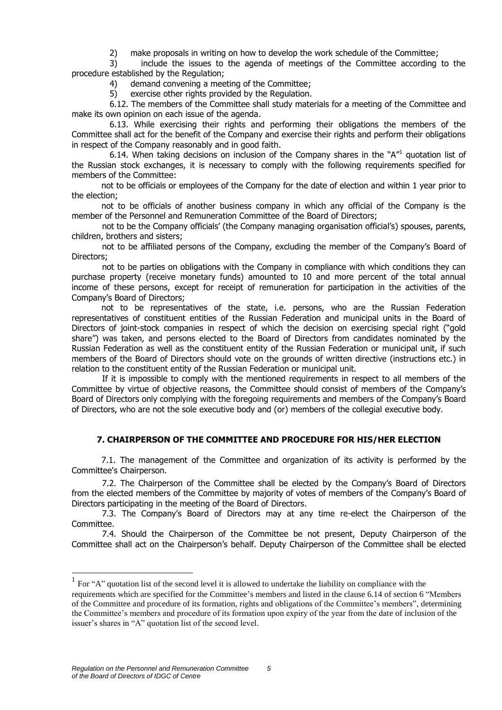2) make proposals in writing on how to develop the work schedule of the Committee;

3) include the issues to the agenda of meetings of the Committee according to the procedure established by the Regulation;

4) demand convening a meeting of the Committee;

5) exercise other rights provided by the Regulation.

6.12. The members of the Committee shall study materials for a meeting of the Committee and make its own opinion on each issue of the agenda.

6.13. While exercising their rights and performing their obligations the members of the Committee shall act for the benefit of the Company and exercise their rights and perform their obligations in respect of the Company reasonably and in good faith.

6.14. When taking decisions on inclusion of the Company shares in the " $A''^1$  quotation list of the Russian stock exchanges, it is necessary to comply with the following requirements specified for members of the Committee:

not to be officials or employees of the Company for the date of election and within 1 year prior to the election;

not to be officials of another business company in which any official of the Company is the member of the Personnel and Remuneration Committee of the Board of Directors;

not to be the Company officials' (the Company managing organisation official's) spouses, parents, children, brothers and sisters;

not to be affiliated persons of the Company, excluding the member of the Company's Board of Directors;

not to be parties on obligations with the Company in compliance with which conditions they can purchase property (receive monetary funds) amounted to 10 and more percent of the total annual income of these persons, except for receipt of remuneration for participation in the activities of the Company's Board of Directors;

not to be representatives of the state, i.e. persons, who are the Russian Federation representatives of constituent entities of the Russian Federation and municipal units in the Board of Directors of joint-stock companies in respect of which the decision on exercising special right ("gold share") was taken, and persons elected to the Board of Directors from candidates nominated by the Russian Federation as well as the constituent entity of the Russian Federation or municipal unit, if such members of the Board of Directors should vote on the grounds of written directive (instructions etc.) in relation to the constituent entity of the Russian Federation or municipal unit.

If it is impossible to comply with the mentioned requirements in respect to all members of the Committee by virtue of objective reasons, the Committee should consist of members of the Company's Board of Directors only complying with the foregoing requirements and members of the Company's Board of Directors, who are not the sole executive body and (or) members of the collegial executive body.

#### **7. CHAIRPERSON OF THE COMMITTEE AND PROCEDURE FOR HIS/HER ELECTION**

7.1. The management of the Committee and organization of its activity is performed by the Committee's Chairperson.

7.2. The Chairperson of the Committee shall be elected by the Company's Board of Directors from the elected members of the Committee by majority of votes of members of the Company's Board of Directors participating in the meeting of the Board of Directors.

7.3. The Company's Board of Directors may at any time re-elect the Chairperson of the Committee.

7.4. Should the Chairperson of the Committee be not present, Deputy Chairperson of the Committee shall act on the Chairperson's behalf. Deputy Chairperson of the Committee shall be elected

1

<sup>&</sup>lt;sup>1</sup> For "A" quotation list of the second level it is allowed to undertake the liability on compliance with the

requirements which are specified for the Committee's members and listed in the clause 6.14 of section 6 "Members of the Committee and procedure of its formation, rights and obligations of the Committee's members", determining the Committee's members and procedure of its formation upon expiry of the year from the date of inclusion of the issuer's shares in "A" quotation list of the second level.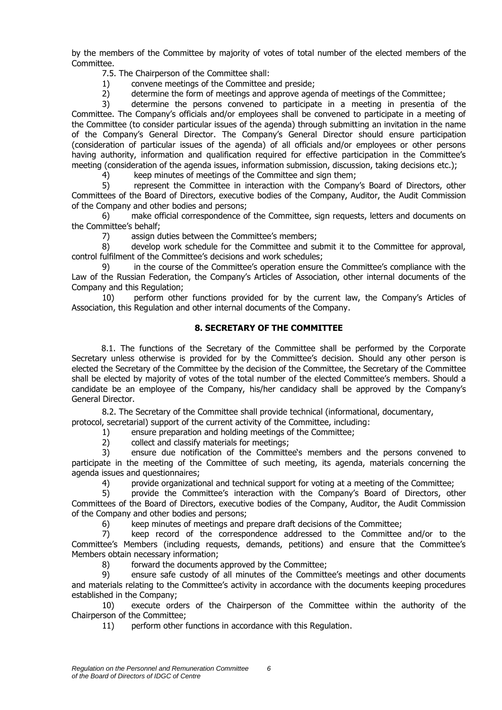by the members of the Committee by majority of votes of total number of the elected members of the Committee.

7.5. The Chairperson of the Committee shall:

- 1) convene meetings of the Committee and preside;
- 2) determine the form of meetings and approve agenda of meetings of the Committee;

3) determine the persons convened to participate in a meeting in presentia of the Committee. The Company's officials and/or employees shall be convened to participate in a meeting of the Committee (to consider particular issues of the agenda) through submitting an invitation in the name of the Company's General Director. The Company's General Director should ensure participation (consideration of particular issues of the agenda) of all officials and/or employees or other persons having authority, information and qualification required for effective participation in the Committee's meeting (consideration of the agenda issues, information submission, discussion, taking decisions etc.);

4) keep minutes of meetings of the Committee and sign them;

5) represent the Committee in interaction with the Company's Board of Directors, other Committees of the Board of Directors, executive bodies of the Company, Auditor, the Audit Commission of the Company and other bodies and persons;

6) make official correspondence of the Committee, sign requests, letters and documents on the Committee's behalf;

7) assign duties between the Committee's members;

8) develop work schedule for the Committee and submit it to the Committee for approval, control fulfilment of the Committee's decisions and work schedules;

9) in the course of the Committee's operation ensure the Committee's compliance with the Law of the Russian Federation, the Company's Articles of Association, other internal documents of the Company and this Regulation;

10) perform other functions provided for by the current law, the Company's Articles of Association, this Regulation and other internal documents of the Company.

#### **8. SECRETARY OF THE COMMITTEE**

8.1. The functions of the Secretary of the Committee shall be performed by the Corporate Secretary unless otherwise is provided for by the Committee's decision. Should any other person is elected the Secretary of the Committee by the decision of the Committee, the Secretary of the Committee shall be elected by majority of votes of the total number of the elected Committee's members. Should a candidate be an employee of the Company, his/her candidacy shall be approved by the Company's General Director.

8.2. The Secretary of the Committee shall provide technical (informational, documentary,

protocol, secretarial) support of the current activity of the Committee, including:

1) ensure preparation and holding meetings of the Committee;

2) collect and classify materials for meetings;

3) ensure due notification of the Committee's members and the persons convened to participate in the meeting of the Committee of such meeting, its agenda, materials concerning the agenda issues and questionnaires;

4) provide organizational and technical support for voting at a meeting of the Committee;

5) provide the Committee's interaction with the Company's Board of Directors, other Committees of the Board of Directors, executive bodies of the Company, Auditor, the Audit Commission of the Company and other bodies and persons;

6) keep minutes of meetings and prepare draft decisions of the Committee;

7) keep record of the correspondence addressed to the Committee and/or to the Committee's Members (including requests, demands, petitions) and ensure that the Committee's Members obtain necessary information;

8) forward the documents approved by the Committee;

9) ensure safe custody of all minutes of the Committee's meetings and other documents and materials relating to the Committee's activity in accordance with the documents keeping procedures established in the Company;

10) execute orders of the Chairperson of the Committee within the authority of the Chairperson of the Committee;

11) perform other functions in accordance with this Regulation.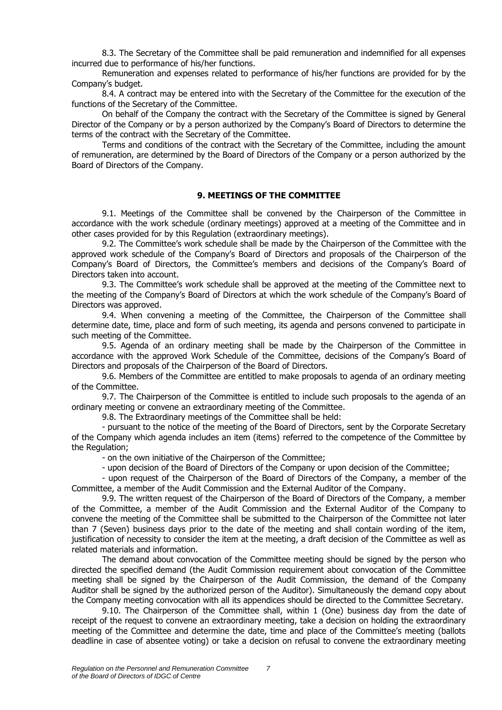8.3. The Secretary of the Committee shall be paid remuneration and indemnified for all expenses incurred due to performance of his/her functions.

Remuneration and expenses related to performance of his/her functions are provided for by the Company's budget.

8.4. A contract may be entered into with the Secretary of the Committee for the execution of the functions of the Secretary of the Committee.

On behalf of the Company the contract with the Secretary of the Committee is signed by General Director of the Company or by a person authorized by the Company's Board of Directors to determine the terms of the contract with the Secretary of the Committee.

Terms and conditions of the contract with the Secretary of the Committee, including the amount of remuneration, are determined by the Board of Directors of the Company or a person authorized by the Board of Directors of the Company.

#### **9. MEETINGS OF THE COMMITTEE**

9.1. Meetings of the Committee shall be convened by the Chairperson of the Committee in accordance with the work schedule (ordinary meetings) approved at a meeting of the Committee and in other cases provided for by this Regulation (extraordinary meetings).

9.2. The Committee's work schedule shall be made by the Chairperson of the Committee with the approved work schedule of the Company's Board of Directors and proposals of the Chairperson of the Company's Board of Directors, the Committee's members and decisions of the Company's Board of Directors taken into account.

9.3. The Committee's work schedule shall be approved at the meeting of the Committee next to the meeting of the Company's Board of Directors at which the work schedule of the Company's Board of Directors was approved.

9.4. When convening a meeting of the Committee, the Chairperson of the Committee shall determine date, time, place and form of such meeting, its agenda and persons convened to participate in such meeting of the Committee.

9.5. Agenda of an ordinary meeting shall be made by the Chairperson of the Committee in accordance with the approved Work Schedule of the Committee, decisions of the Company's Board of Directors and proposals of the Chairperson of the Board of Directors.

9.6. Members of the Committee are entitled to make proposals to agenda of an ordinary meeting of the Committee.

9.7. The Chairperson of the Committee is entitled to include such proposals to the agenda of an ordinary meeting or convene an extraordinary meeting of the Committee.

9.8. The Extraordinary meetings of the Committee shall be held:

- pursuant to the notice of the meeting of the Board of Directors, sent by the Corporate Secretary of the Company which agenda includes an item (items) referred to the competence of the Committee by the Regulation;

- on the own initiative of the Chairperson of the Committee;

- upon decision of the Board of Directors of the Company or upon decision of the Committee;

- upon request of the Chairperson of the Board of Directors of the Company, a member of the Committee, a member of the Audit Commission and the External Auditor of the Company.

9.9. The written request of the Chairperson of the Board of Directors of the Company, a member of the Committee, a member of the Audit Commission and the External Auditor of the Company to convene the meeting of the Committee shall be submitted to the Chairperson of the Committee not later than 7 (Seven) business days prior to the date of the meeting and shall contain wording of the item, justification of necessity to consider the item at the meeting, a draft decision of the Committee as well as related materials and information.

The demand about convocation of the Committee meeting should be signed by the person who directed the specified demand (the Audit Commission requirement about convocation of the Committee meeting shall be signed by the Chairperson of the Audit Commission, the demand of the Company Auditor shall be signed by the authorized person of the Auditor). Simultaneously the demand copy about the Company meeting convocation with all its appendices should be directed to the Committee Secretary.

9.10. The Chairperson of the Committee shall, within 1 (One) business day from the date of receipt of the request to convene an extraordinary meeting, take a decision on holding the extraordinary meeting of the Committee and determine the date, time and place of the Committee's meeting (ballots deadline in case of absentee voting) or take a decision on refusal to convene the extraordinary meeting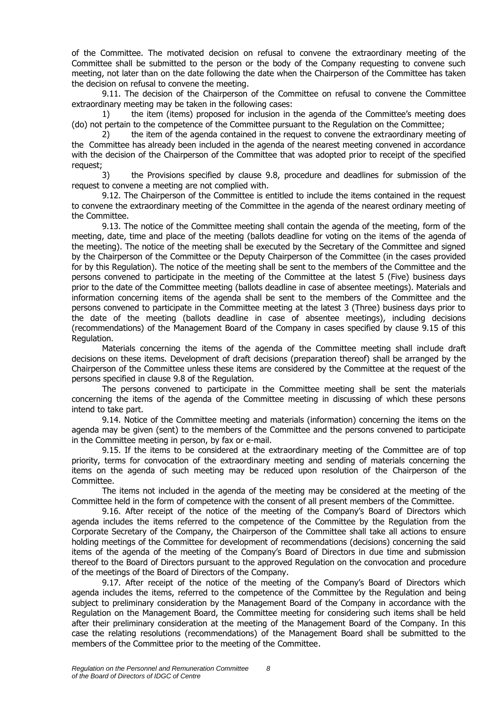of the Committee. The motivated decision on refusal to convene the extraordinary meeting of the Committee shall be submitted to the person or the body of the Company requesting to convene such meeting, not later than on the date following the date when the Chairperson of the Committee has taken the decision on refusal to convene the meeting.

9.11. The decision of the Chairperson of the Committee on refusal to convene the Committee extraordinary meeting may be taken in the following cases:

1) the item (items) proposed for inclusion in the agenda of the Committee's meeting does (do) not pertain to the competence of the Committee pursuant to the Regulation on the Committee;

2) the item of the agenda contained in the request to convene the extraordinary meeting of the Committee has already been included in the agenda of the nearest meeting convened in accordance with the decision of the Chairperson of the Committee that was adopted prior to receipt of the specified request;

3) the Provisions specified by clause 9.8, procedure and deadlines for submission of the request to convene a meeting are not complied with.

9.12. The Chairperson of the Committee is entitled to include the items contained in the request to convene the extraordinary meeting of the Committee in the agenda of the nearest ordinary meeting of the Committee.

9.13. The notice of the Committee meeting shall contain the agenda of the meeting, form of the meeting, date, time and place of the meeting (ballots deadline for voting on the items of the agenda of the meeting). The notice of the meeting shall be executed by the Secretary of the Committee and signed by the Chairperson of the Committee or the Deputy Chairperson of the Committee (in the cases provided for by this Regulation). The notice of the meeting shall be sent to the members of the Committee and the persons convened to participate in the meeting of the Committee at the latest 5 (Five) business days prior to the date of the Committee meeting (ballots deadline in case of absentee meetings). Materials and information concerning items of the agenda shall be sent to the members of the Committee and the persons convened to participate in the Committee meeting at the latest 3 (Three) business days prior to the date of the meeting (ballots deadline in case of absentee meetings), including decisions (recommendations) of the Management Board of the Company in cases specified by clause 9.15 of this Regulation.

Materials concerning the items of the agenda of the Committee meeting shall include draft decisions on these items. Development of draft decisions (preparation thereof) shall be arranged by the Chairperson of the Committee unless these items are considered by the Committee at the request of the persons specified in clause 9.8 of the Regulation.

The persons convened to participate in the Committee meeting shall be sent the materials concerning the items of the agenda of the Committee meeting in discussing of which these persons intend to take part.

9.14. Notice of the Committee meeting and materials (information) concerning the items on the agenda may be given (sent) to the members of the Committee and the persons convened to participate in the Committee meeting in person, by fax or e-mail.

9.15. If the items to be considered at the extraordinary meeting of the Committee are of top priority, terms for convocation of the extraordinary meeting and sending of materials concerning the items on the agenda of such meeting may be reduced upon resolution of the Chairperson of the Committee.

The items not included in the agenda of the meeting may be considered at the meeting of the Committee held in the form of competence with the consent of all present members of the Committee.

9.16. After receipt of the notice of the meeting of the Company's Board of Directors which agenda includes the items referred to the competence of the Committee by the Regulation from the Corporate Secretary of the Company, the Chairperson of the Committee shall take all actions to ensure holding meetings of the Committee for development of recommendations (decisions) concerning the said items of the agenda of the meeting of the Company's Board of Directors in due time and submission thereof to the Board of Directors pursuant to the approved Regulation on the convocation and procedure of the meetings of the Board of Directors of the Company.

9.17. After receipt of the notice of the meeting of the Company's Board of Directors which agenda includes the items, referred to the competence of the Committee by the Regulation and being subject to preliminary consideration by the Management Board of the Company in accordance with the Regulation on the Management Board, the Committee meeting for considering such items shall be held after their preliminary consideration at the meeting of the Management Board of the Company. In this case the relating resolutions (recommendations) of the Management Board shall be submitted to the members of the Committee prior to the meeting of the Committee.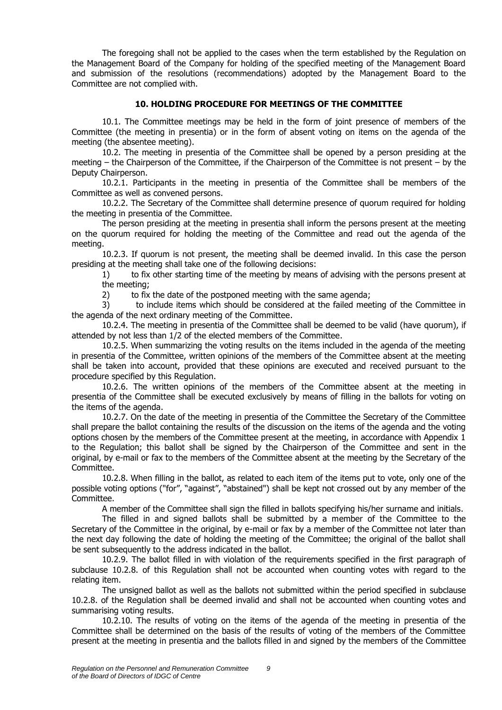The foregoing shall not be applied to the cases when the term established by the Regulation on the Management Board of the Company for holding of the specified meeting of the Management Board and submission of the resolutions (recommendations) adopted by the Management Board to the Committee are not complied with.

#### **10. HOLDING PROCEDURE FOR MEETINGS OF THE COMMITTEE**

10.1. The Committee meetings may be held in the form of joint presence of members of the Committee (the meeting in presentia) or in the form of absent voting on items on the agenda of the meeting (the absentee meeting).

10.2. The meeting in presentia of the Committee shall be opened by a person presiding at the meeting – the Chairperson of the Committee, if the Chairperson of the Committee is not present – by the Deputy Chairperson.

10.2.1. Participants in the meeting in presentia of the Committee shall be members of the Committee as well as convened persons.

10.2.2. The Secretary of the Committee shall determine presence of quorum required for holding the meeting in presentia of the Committee.

The person presiding at the meeting in presentia shall inform the persons present at the meeting on the quorum required for holding the meeting of the Committee and read out the agenda of the meeting.

10.2.3. If quorum is not present, the meeting shall be deemed invalid. In this case the person presiding at the meeting shall take one of the following decisions:

1) to fix other starting time of the meeting by means of advising with the persons present at the meeting;

2) to fix the date of the postponed meeting with the same agenda;

3) to include items which should be considered at the failed meeting of the Committee in the agenda of the next ordinary meeting of the Committee.

10.2.4. The meeting in presentia of the Committee shall be deemed to be valid (have quorum), if attended by not less than 1/2 of the elected members of the Committee.

10.2.5. When summarizing the voting results on the items included in the agenda of the meeting in presentia of the Committee, written opinions of the members of the Committee absent at the meeting shall be taken into account, provided that these opinions are executed and received pursuant to the procedure specified by this Regulation.

10.2.6. The written opinions of the members of the Committee absent at the meeting in presentia of the Committee shall be executed exclusively by means of filling in the ballots for voting on the items of the agenda.

10.2.7. On the date of the meeting in presentia of the Committee the Secretary of the Committee shall prepare the ballot containing the results of the discussion on the items of the agenda and the voting options chosen by the members of the Committee present at the meeting, in accordance with Appendix 1 to the Regulation; this ballot shall be signed by the Chairperson of the Committee and sent in the original, by e-mail or fax to the members of the Committee absent at the meeting by the Secretary of the Committee.

10.2.8. When filling in the ballot, as related to each item of the items put to vote, only one of the possible voting options ("for", "against", "abstained") shall be kept not crossed out by any member of the Committee.

A member of the Committee shall sign the filled in ballots specifying his/her surname and initials.

The filled in and signed ballots shall be submitted by a member of the Committee to the Secretary of the Committee in the original, by e-mail or fax by a member of the Committee not later than the next day following the date of holding the meeting of the Committee; the original of the ballot shall be sent subsequently to the address indicated in the ballot.

10.2.9. The ballot filled in with violation of the requirements specified in the first paragraph of subclause 10.2.8. of this Regulation shall not be accounted when counting votes with regard to the relating item.

The unsigned ballot as well as the ballots not submitted within the period specified in subclause 10.2.8. of the Regulation shall be deemed invalid and shall not be accounted when counting votes and summarising voting results.

10.2.10. The results of voting on the items of the agenda of the meeting in presentia of the Committee shall be determined on the basis of the results of voting of the members of the Committee present at the meeting in presentia and the ballots filled in and signed by the members of the Committee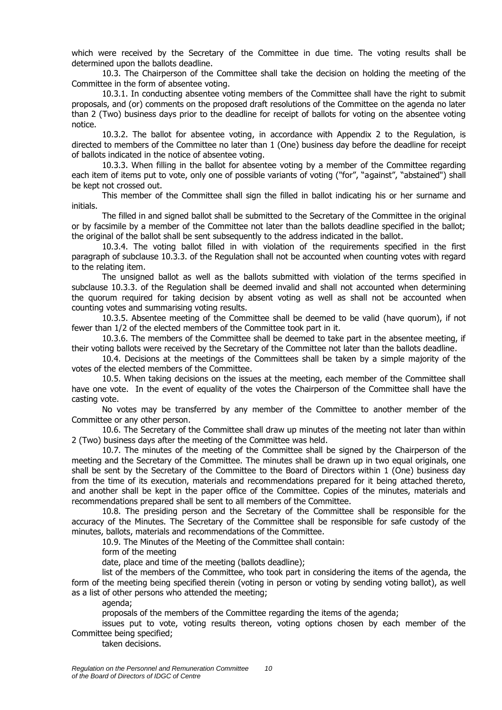which were received by the Secretary of the Committee in due time. The voting results shall be determined upon the ballots deadline.

10.3. The Chairperson of the Committee shall take the decision on holding the meeting of the Committee in the form of absentee voting.

10.3.1. In conducting absentee voting members of the Committee shall have the right to submit proposals, and (or) comments on the proposed draft resolutions of the Committee on the agenda no later than 2 (Two) business days prior to the deadline for receipt of ballots for voting on the absentee voting notice.

10.3.2. The ballot for absentee voting, in accordance with Appendix 2 to the Regulation, is directed to members of the Committee no later than 1 (One) business day before the deadline for receipt of ballots indicated in the notice of absentee voting.

10.3.3. When filling in the ballot for absentee voting by a member of the Committee regarding each item of items put to vote, only one of possible variants of voting ("for", "against", "abstained") shall be kept not crossed out.

This member of the Committee shall sign the filled in ballot indicating his or her surname and initials.

The filled in and signed ballot shall be submitted to the Secretary of the Committee in the original or by facsimile by a member of the Committee not later than the ballots deadline specified in the ballot; the original of the ballot shall be sent subsequently to the address indicated in the ballot.

10.3.4. The voting ballot filled in with violation of the requirements specified in the first paragraph of subclause 10.3.3. of the Regulation shall not be accounted when counting votes with regard to the relating item.

The unsigned ballot as well as the ballots submitted with violation of the terms specified in subclause 10.3.3. of the Regulation shall be deemed invalid and shall not accounted when determining the quorum required for taking decision by absent voting as well as shall not be accounted when counting votes and summarising voting results.

10.3.5. Absentee meeting of the Committee shall be deemed to be valid (have quorum), if not fewer than 1/2 of the elected members of the Committee took part in it.

10.3.6. The members of the Committee shall be deemed to take part in the absentee meeting, if their voting ballots were received by the Secretary of the Committee not later than the ballots deadline.

10.4. Decisions at the meetings of the Committees shall be taken by a simple majority of the votes of the elected members of the Committee.

10.5. When taking decisions on the issues at the meeting, each member of the Committee shall have one vote. In the event of equality of the votes the Chairperson of the Committee shall have the casting vote.

No votes may be transferred by any member of the Committee to another member of the Committee or any other person.

10.6. The Secretary of the Committee shall draw up minutes of the meeting not later than within 2 (Two) business days after the meeting of the Committee was held.

10.7. The minutes of the meeting of the Committee shall be signed by the Chairperson of the meeting and the Secretary of the Committee. The minutes shall be drawn up in two equal originals, one shall be sent by the Secretary of the Committee to the Board of Directors within 1 (One) business day from the time of its execution, materials and recommendations prepared for it being attached thereto, and another shall be kept in the paper office of the Committee. Copies of the minutes, materials and recommendations prepared shall be sent to all members of the Committee.

10.8. The presiding person and the Secretary of the Committee shall be responsible for the accuracy of the Minutes. The Secretary of the Committee shall be responsible for safe custody of the minutes, ballots, materials and recommendations of the Committee.

10.9. The Minutes of the Meeting of the Committee shall contain:

form of the meeting

date, place and time of the meeting (ballots deadline);

list of the members of the Committee, who took part in considering the items of the agenda, the form of the meeting being specified therein (voting in person or voting by sending voting ballot), as well as a list of other persons who attended the meeting;

agenda;

proposals of the members of the Committee regarding the items of the agenda;

issues put to vote, voting results thereon, voting options chosen by each member of the Committee being specified;

taken decisions.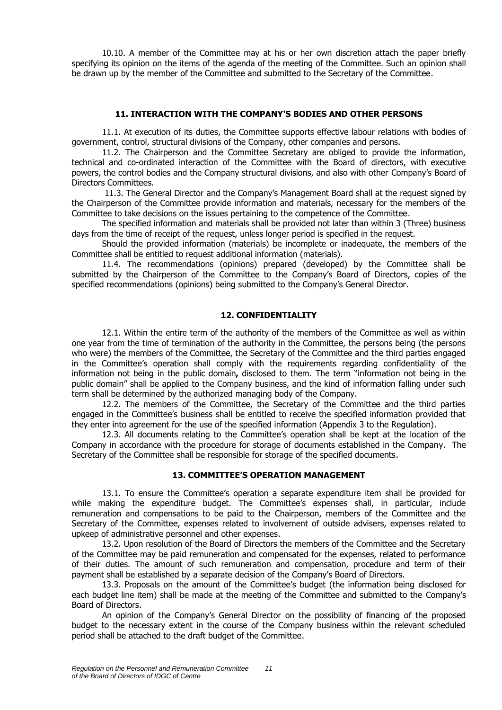10.10. A member of the Committee may at his or her own discretion attach the paper briefly specifying its opinion on the items of the agenda of the meeting of the Committee. Such an opinion shall be drawn up by the member of the Committee and submitted to the Secretary of the Committee.

#### **11. INTERACTION WITH THE COMPANY'S BODIES AND OTHER PERSONS**

11.1. At execution of its duties, the Committee supports effective labour relations with bodies of government, control, structural divisions of the Company, other companies and persons.

11.2. The Chairperson and the Committee Secretary are obliged to provide the information, technical and co-ordinated interaction of the Committee with the Board of directors, with executive powers, the control bodies and the Company structural divisions, and also with other Company's Board of Directors Committees.

11.3. The General Director and the Company's Management Board shall at the request signed by the Chairperson of the Committee provide information and materials, necessary for the members of the Committee to take decisions on the issues pertaining to the competence of the Committee.

The specified information and materials shall be provided not later than within 3 (Three) business days from the time of receipt of the request, unless longer period is specified in the request.

Should the provided information (materials) be incomplete or inadequate, the members of the Committee shall be entitled to request additional information (materials).

11.4. The recommendations (opinions) prepared (developed) by the Committee shall be submitted by the Chairperson of the Committee to the Company's Board of Directors, copies of the specified recommendations (opinions) being submitted to the Company's General Director.

#### **12. CONFIDENTIALITY**

12.1. Within the entire term of the authority of the members of the Committee as well as within one year from the time of termination of the authority in the Committee, the persons being (the persons who were) the members of the Committee, the Secretary of the Committee and the third parties engaged in the Committee's operation shall comply with the requirements regarding confidentiality of the information not being in the public domain**,** disclosed to them. The term "information not being in the public domain" shall be applied to the Company business, and the kind of information falling under such term shall be determined by the authorized managing body of the Company.

12.2. The members of the Committee, the Secretary of the Committee and the third parties engaged in the Committee's business shall be entitled to receive the specified information provided that they enter into agreement for the use of the specified information (Appendix 3 to the Regulation).

12.3. All documents relating to the Committee's operation shall be kept at the location of the Company in accordance with the procedure for storage of documents established in the Company. The Secretary of the Committee shall be responsible for storage of the specified documents.

#### **13. COMMITTEE'S OPERATION MANAGEMENT**

13.1. To ensure the Committee's operation a separate expenditure item shall be provided for while making the expenditure budget. The Committee's expenses shall, in particular, include remuneration and compensations to be paid to the Chairperson, members of the Committee and the Secretary of the Committee, expenses related to involvement of outside advisers, expenses related to upkeep of administrative personnel and other expenses.

13.2. Upon resolution of the Board of Directors the members of the Committee and the Secretary of the Committee may be paid remuneration and compensated for the expenses, related to performance of their duties. The amount of such remuneration and compensation, procedure and term of their payment shall be established by a separate decision of the Company's Board of Directors.

13.3. Proposals on the amount of the Committee's budget (the information being disclosed for each budget line item) shall be made at the meeting of the Committee and submitted to the Company's Board of Directors.

An opinion of the Company's General Director on the possibility of financing of the proposed budget to the necessary extent in the course of the Company business within the relevant scheduled period shall be attached to the draft budget of the Committee.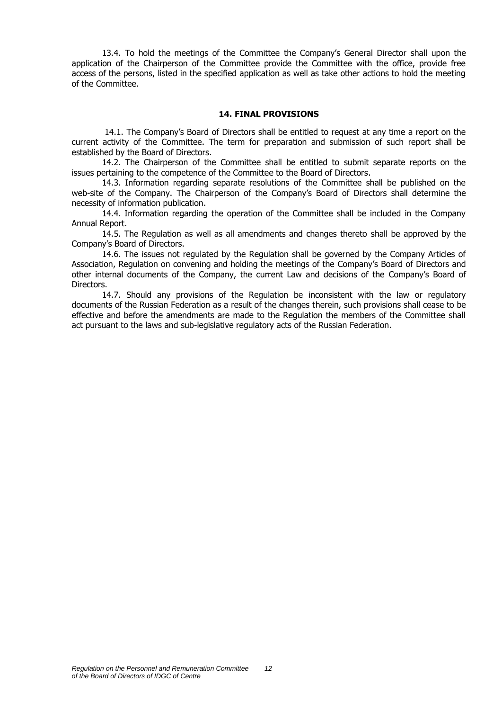13.4. To hold the meetings of the Committee the Company's General Director shall upon the application of the Chairperson of the Committee provide the Committee with the office, provide free access of the persons, listed in the specified application as well as take other actions to hold the meeting of the Committee.

#### **14. FINAL PROVISIONS**

14.1. The Company's Board of Directors shall be entitled to request at any time a report on the current activity of the Committee. The term for preparation and submission of such report shall be established by the Board of Directors.

14.2. The Chairperson of the Committee shall be entitled to submit separate reports on the issues pertaining to the competence of the Committee to the Board of Directors.

14.3. Information regarding separate resolutions of the Committee shall be published on the web-site of the Company. The Chairperson of the Company's Board of Directors shall determine the necessity of information publication.

14.4. Information regarding the operation of the Committee shall be included in the Company Annual Report.

14.5. The Regulation as well as all amendments and changes thereto shall be approved by the Company's Board of Directors.

14.6. The issues not regulated by the Regulation shall be governed by the Company Articles of Association, Regulation on convening and holding the meetings of the Company's Board of Directors and other internal documents of the Company, the current Law and decisions of the Company's Board of Directors.

14.7. Should any provisions of the Regulation be inconsistent with the law or regulatory documents of the Russian Federation as a result of the changes therein, such provisions shall cease to be effective and before the amendments are made to the Regulation the members of the Committee shall act pursuant to the laws and sub-legislative regulatory acts of the Russian Federation.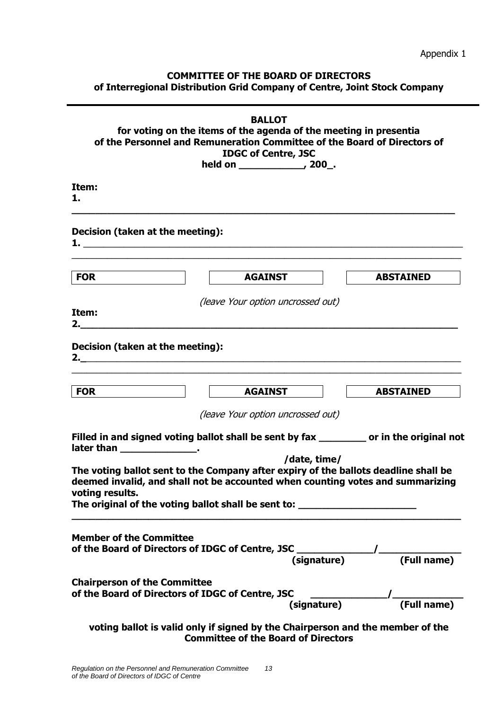Appendix 1

### **COMMITTEE OF THE BOARD OF DIRECTORS of Interregional Distribution Grid Company of Centre, Joint Stock Company**

| <b>BALLOT</b><br>for voting on the items of the agenda of the meeting in presentia<br>of the Personnel and Remuneration Committee of the Board of Directors of<br><b>IDGC of Centre, JSC</b> |                                                                                                                                                                                                                                                                           |                  |  |  |
|----------------------------------------------------------------------------------------------------------------------------------------------------------------------------------------------|---------------------------------------------------------------------------------------------------------------------------------------------------------------------------------------------------------------------------------------------------------------------------|------------------|--|--|
| Item:<br>1.                                                                                                                                                                                  |                                                                                                                                                                                                                                                                           |                  |  |  |
| Decision (taken at the meeting):                                                                                                                                                             |                                                                                                                                                                                                                                                                           |                  |  |  |
| <b>FOR</b>                                                                                                                                                                                   | <b>AGAINST</b>                                                                                                                                                                                                                                                            | <b>ABSTAINED</b> |  |  |
| Item:                                                                                                                                                                                        | (leave Your option uncrossed out)                                                                                                                                                                                                                                         |                  |  |  |
| Decision (taken at the meeting):                                                                                                                                                             |                                                                                                                                                                                                                                                                           |                  |  |  |
| <b>FOR</b>                                                                                                                                                                                   | AGAINST                                                                                                                                                                                                                                                                   | <b>ABSTAINED</b> |  |  |
|                                                                                                                                                                                              | (leave Your option uncrossed out)                                                                                                                                                                                                                                         |                  |  |  |
| later than _________________.                                                                                                                                                                | Filled in and signed voting ballot shall be sent by fax ________ or in the original not                                                                                                                                                                                   |                  |  |  |
| voting results.                                                                                                                                                                              | /date, time/<br>The voting ballot sent to the Company after expiry of the ballots deadline shall be<br>deemed invalid, and shall not be accounted when counting votes and summarizing<br>The original of the voting ballot shall be sent to: ____________________________ |                  |  |  |
| <b>Member of the Committee</b>                                                                                                                                                               |                                                                                                                                                                                                                                                                           |                  |  |  |
| <b>Chairperson of the Committee</b><br>of the Board of Directors of IDGC of Centre, JSC                                                                                                      | C<br>(signature)                                                                                                                                                                                                                                                          |                  |  |  |
|                                                                                                                                                                                              | voting ballot is valid only if signed by the Chairperson and the member of the<br><b>Committee of the Board of Directors</b>                                                                                                                                              |                  |  |  |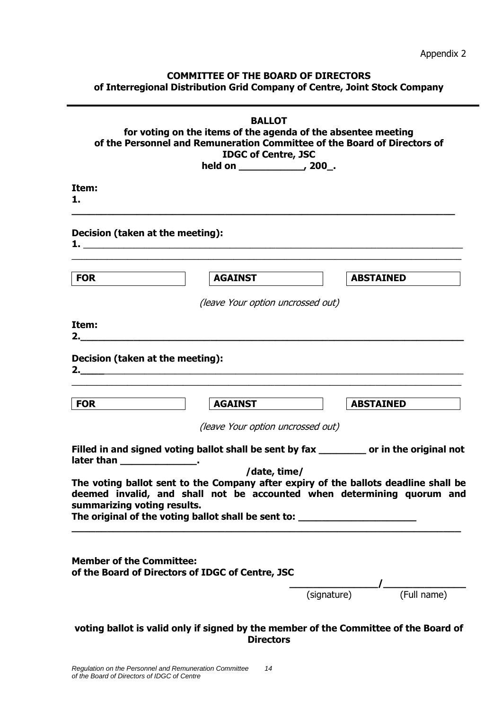Appendix 2

### **COMMITTEE OF THE BOARD OF DIRECTORS of Interregional Distribution Grid Company of Centre, Joint Stock Company**

| <b>BALLOT</b><br>for voting on the items of the agenda of the absentee meeting<br>of the Personnel and Remuneration Committee of the Board of Directors of<br><b>IDGC of Centre, JSC</b>                                                                                         |                                   |             |                  |  |
|----------------------------------------------------------------------------------------------------------------------------------------------------------------------------------------------------------------------------------------------------------------------------------|-----------------------------------|-------------|------------------|--|
| Item:<br>1.                                                                                                                                                                                                                                                                      |                                   |             |                  |  |
| Decision (taken at the meeting):                                                                                                                                                                                                                                                 |                                   |             |                  |  |
| <b>FOR</b>                                                                                                                                                                                                                                                                       | <b>AGAINST</b>                    |             | <b>ABSTAINED</b> |  |
|                                                                                                                                                                                                                                                                                  | (leave Your option uncrossed out) |             |                  |  |
| Item:<br>2. $\qquad \qquad$                                                                                                                                                                                                                                                      |                                   |             |                  |  |
| Decision (taken at the meeting):                                                                                                                                                                                                                                                 |                                   |             |                  |  |
| <b>FOR</b>                                                                                                                                                                                                                                                                       | <b>AGAINST</b>                    |             | <b>ABSTAINED</b> |  |
|                                                                                                                                                                                                                                                                                  | (leave Your option uncrossed out) |             |                  |  |
| Filled in and signed voting ballot shall be sent by fax _________ or in the original not<br>later than the set of the set of the set of the set of the set of the set of the set of the set of the set of t                                                                      |                                   |             |                  |  |
| The voting ballot sent to the Company after expiry of the ballots deadline shall be<br>deemed invalid, and shall not be accounted when determining quorum and<br>summarizing voting results.<br>The original of the voting ballot shall be sent to: ____________________________ | /date, time/                      |             |                  |  |
| <b>Member of the Committee:</b><br>of the Board of Directors of IDGC of Centre, JSC                                                                                                                                                                                              |                                   | (signature) | (Full name)      |  |
| voting ballot is valid only if signed by the member of the Committee of the Board of                                                                                                                                                                                             | <b>Directors</b>                  |             |                  |  |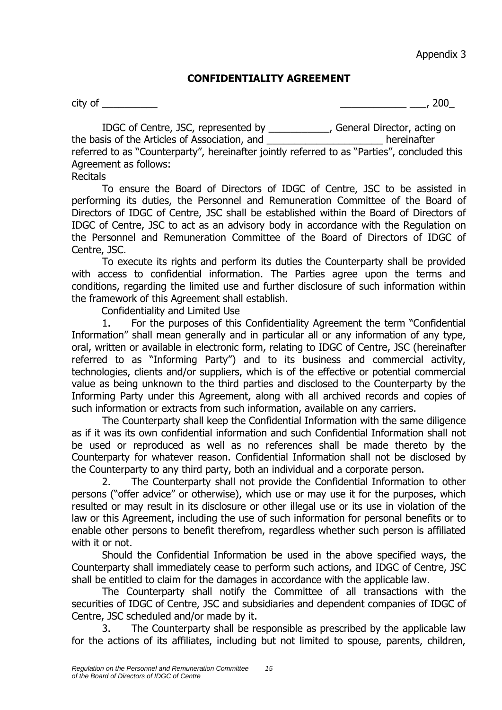Appendix 3

# **CONFIDENTIALITY AGREEMENT**

city of \_\_\_\_\_\_\_\_\_\_ \_\_\_\_\_\_\_\_\_\_\_\_ \_\_\_, 200\_

IDGC of Centre, JSC, represented by \_\_\_\_\_\_\_\_\_\_\_, General Director, acting on the basis of the Articles of Association, and \_\_\_\_\_\_\_\_\_\_\_\_\_\_\_\_\_\_\_\_\_ hereinafter referred to as "Counterparty", hereinafter jointly referred to as "Parties", concluded this Agreement as follows:

**Recitals** 

To ensure the Board of Directors of IDGC of Centre, JSC to be assisted in performing its duties, the Personnel and Remuneration Committee of the Board of Directors of IDGC of Centre, JSC shall be established within the Board of Directors of IDGC of Centre, JSC to act as an advisory body in accordance with the Regulation on the Personnel and Remuneration Committee of the Board of Directors of IDGC of Centre, JSC.

To execute its rights and perform its duties the Counterparty shall be provided with access to confidential information. The Parties agree upon the terms and conditions, regarding the limited use and further disclosure of such information within the framework of this Agreement shall establish.

Confidentiality and Limited Use

1. For the purposes of this Confidentiality Agreement the term "Confidential Information" shall mean generally and in particular all or any information of any type, oral, written or available in electronic form, relating to IDGC of Centre, JSC (hereinafter referred to as "Informing Party") and to its business and commercial activity, technologies, clients and/or suppliers, which is of the effective or potential commercial value as being unknown to the third parties and disclosed to the Counterparty by the Informing Party under this Agreement, along with all archived records and copies of such information or extracts from such information, available on any carriers.

The Counterparty shall keep the Confidential Information with the same diligence as if it was its own confidential information and such Confidential Information shall not be used or reproduced as well as no references shall be made thereto by the Counterparty for whatever reason. Confidential Information shall not be disclosed by the Counterparty to any third party, both an individual and a corporate person.

2. The Counterparty shall not provide the Confidential Information to other persons ("offer advice" or otherwise), which use or may use it for the purposes, which resulted or may result in its disclosure or other illegal use or its use in violation of the law or this Agreement, including the use of such information for personal benefits or to enable other persons to benefit therefrom, regardless whether such person is affiliated with it or not.

Should the Confidential Information be used in the above specified ways, the Counterparty shall immediately cease to perform such actions, and IDGC of Centre, JSC shall be entitled to claim for the damages in accordance with the applicable law.

The Counterparty shall notify the Committee of all transactions with the securities of IDGC of Centre, JSC and subsidiaries and dependent companies of IDGC of Centre, JSC scheduled and/or made by it.

3. The Counterparty shall be responsible as prescribed by the applicable law for the actions of its affiliates, including but not limited to spouse, parents, children,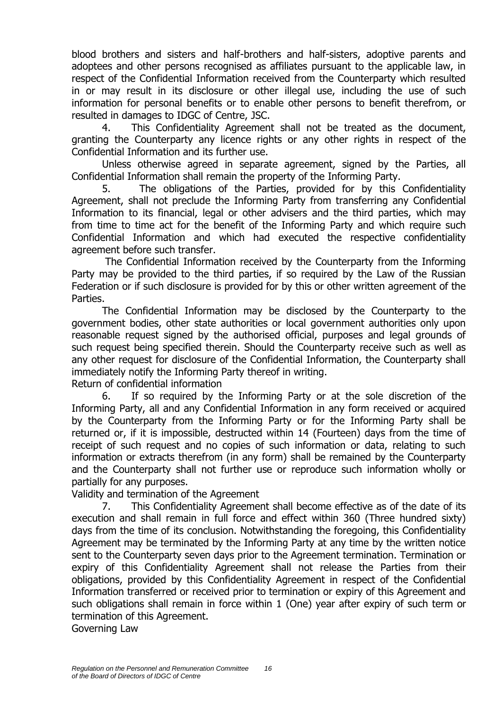blood brothers and sisters and half-brothers and half-sisters, adoptive parents and adoptees and other persons recognised as affiliates pursuant to the applicable law, in respect of the Confidential Information received from the Counterparty which resulted in or may result in its disclosure or other illegal use, including the use of such information for personal benefits or to enable other persons to benefit therefrom, or resulted in damages to IDGC of Centre, JSC.

4. This Confidentiality Agreement shall not be treated as the document, granting the Counterparty any licence rights or any other rights in respect of the Confidential Information and its further use.

Unless otherwise agreed in separate agreement, signed by the Parties, all Confidential Information shall remain the property of the Informing Party.

5. The obligations of the Parties, provided for by this Confidentiality Agreement, shall not preclude the Informing Party from transferring any Confidential Information to its financial, legal or other advisers and the third parties, which may from time to time act for the benefit of the Informing Party and which require such Confidential Information and which had executed the respective confidentiality agreement before such transfer.

The Confidential Information received by the Counterparty from the Informing Party may be provided to the third parties, if so required by the Law of the Russian Federation or if such disclosure is provided for by this or other written agreement of the Parties.

The Confidential Information may be disclosed by the Counterparty to the government bodies, other state authorities or local government authorities only upon reasonable request signed by the authorised official, purposes and legal grounds of such request being specified therein. Should the Counterparty receive such as well as any other request for disclosure of the Confidential Information, the Counterparty shall immediately notify the Informing Party thereof in writing.

Return of confidential information

6. If so required by the Informing Party or at the sole discretion of the Informing Party, all and any Confidential Information in any form received or acquired by the Counterparty from the Informing Party or for the Informing Party shall be returned or, if it is impossible, destructed within 14 (Fourteen) days from the time of receipt of such request and no copies of such information or data, relating to such information or extracts therefrom (in any form) shall be remained by the Counterparty and the Counterparty shall not further use or reproduce such information wholly or partially for any purposes.

Validity and termination of the Agreement

7. This Confidentiality Agreement shall become effective as of the date of its execution and shall remain in full force and effect within 360 (Three hundred sixty) days from the time of its conclusion. Notwithstanding the foregoing, this Confidentiality Agreement may be terminated by the Informing Party at any time by the written notice sent to the Counterparty seven days prior to the Agreement termination. Termination or expiry of this Confidentiality Agreement shall not release the Parties from their obligations, provided by this Confidentiality Agreement in respect of the Confidential Information transferred or received prior to termination or expiry of this Agreement and such obligations shall remain in force within 1 (One) year after expiry of such term or termination of this Agreement.

Governing Law